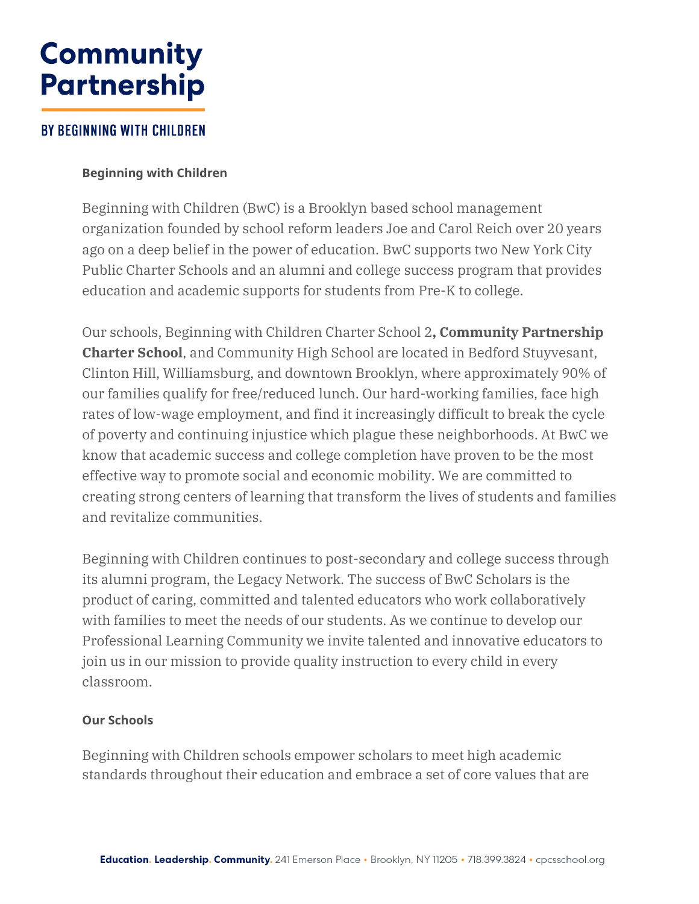# **Community Partnership**

## **BY BEGINNING WITH CHILDREN**

### **Beginning with Children**

Beginning with Children (BwC) is a Brooklyn based school management organization founded by school reform leaders Joe and Carol Reich over 20 years ago on a deep belief in the power of education. BwC supports two New York City Public Charter Schools and an alumni and college success program that provides education and academic supports for students from Pre-K to college.

Our schools, Beginning with Children Charter School 2**, Community Partnership Charter School**, and Community High School are located in Bedford Stuyvesant, Clinton Hill, Williamsburg, and downtown Brooklyn, where approximately 90% of our families qualify for free/reduced lunch. Our hard-working families, face high rates of low-wage employment, and find it increasingly difficult to break the cycle of poverty and continuing injustice which plague these neighborhoods. At BwC we know that academic success and college completion have proven to be the most effective way to promote social and economic mobility. We are committed to creating strong centers of learning that transform the lives of students and families and revitalize communities.

Beginning with Children continues to post-secondary and college success through its alumni program, the Legacy Network. The success of BwC Scholars is the product of caring, committed and talented educators who work collaboratively with families to meet the needs of our students. As we continue to develop our Professional Learning Community we invite talented and innovative educators to join us in our mission to provide quality instruction to every child in every classroom.

#### **Our Schools**

Beginning with Children schools empower scholars to meet high academic standards throughout their education and embrace a set of core values that are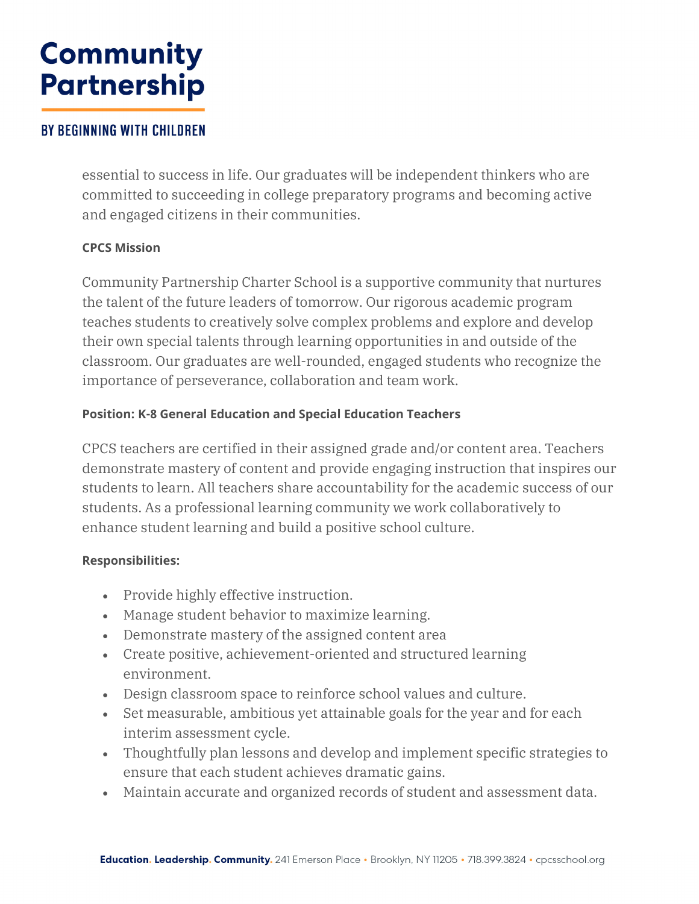# **Community Partnership**

## **BY BEGINNING WITH CHILDREN**

essential to success in life. Our graduates will be independent thinkers who are committed to succeeding in college preparatory programs and becoming active and engaged citizens in their communities.

## **CPCS Mission**

Community Partnership Charter School is a supportive community that nurtures the talent of the future leaders of tomorrow. Our rigorous academic program teaches students to creatively solve complex problems and explore and develop their own special talents through learning opportunities in and outside of the classroom. Our graduates are well-rounded, engaged students who recognize the importance of perseverance, collaboration and team work.

## **Position: K-8 General Education and Special Education Teachers**

CPCS teachers are certified in their assigned grade and/or content area. Teachers demonstrate mastery of content and provide engaging instruction that inspires our students to learn. All teachers share accountability for the academic success of our students. As a professional learning community we work collaboratively to enhance student learning and build a positive school culture.

#### **Responsibilities:**

- Provide highly effective instruction.
- Manage student behavior to maximize learning.
- Demonstrate mastery of the assigned content area
- Create positive, achievement-oriented and structured learning environment.
- Design classroom space to reinforce school values and culture.
- Set measurable, ambitious yet attainable goals for the year and for each interim assessment cycle.
- Thoughtfully plan lessons and develop and implement specific strategies to ensure that each student achieves dramatic gains.
- Maintain accurate and organized records of student and assessment data.